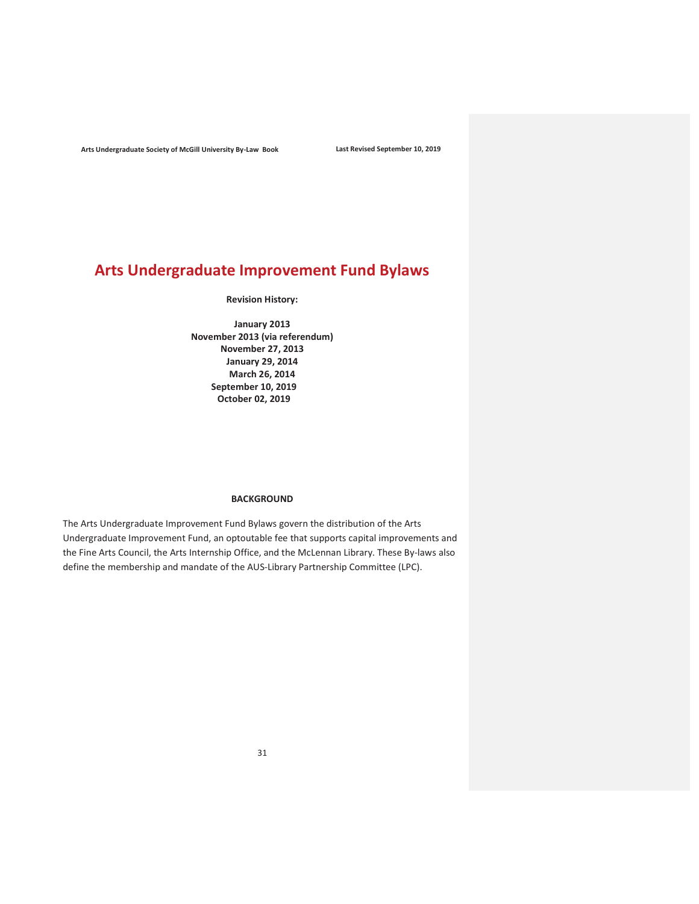# Arts Undergraduate Improvement Fund Bylaws

Revision History:

January 2013 November 2013 (via referendum) November 27, 2013 January 29, 2014 March 26, 2014 September 10, 2019 October 02, 2019

## BACKGROUND

The Arts Undergraduate Improvement Fund Bylaws govern the distribution of the Arts Undergraduate Improvement Fund, an optoutable fee that supports capital improvements and the Fine Arts Council, the Arts Internship Office, and the McLennan Library. These By-laws also define the membership and mandate of the AUS-Library Partnership Committee (LPC).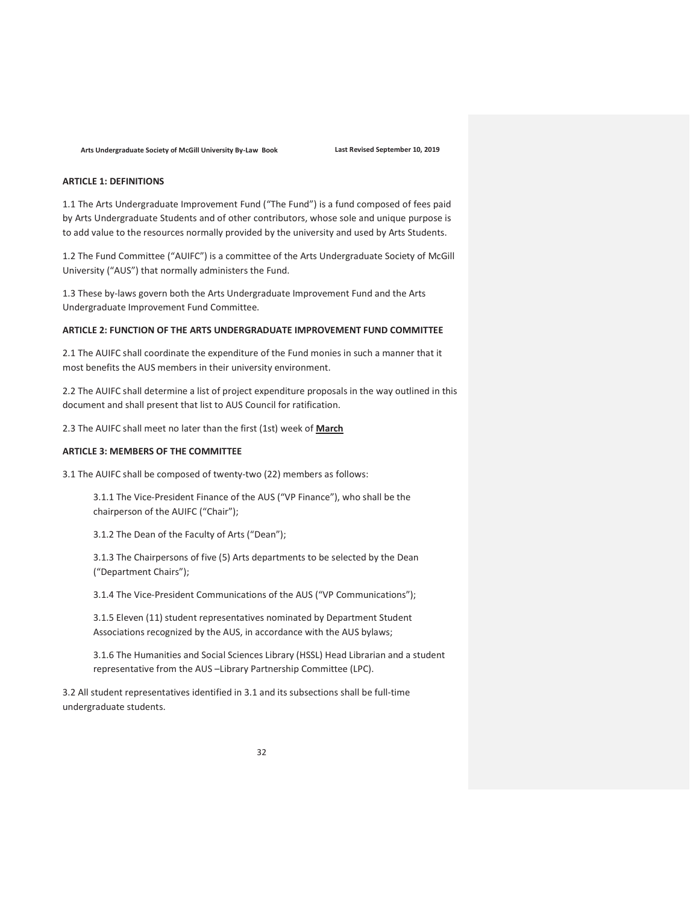# ARTICLE 1: DEFINITIONS

1.1 The Arts Undergraduate Improvement Fund ("The Fund") is a fund composed of fees paid by Arts Undergraduate Students and of other contributors, whose sole and unique purpose is to add value to the resources normally provided by the university and used by Arts Students.

1.2 The Fund Committee ("AUIFC") is a committee of the Arts Undergraduate Society of McGill University ("AUS") that normally administers the Fund.

1.3 These by-laws govern both the Arts Undergraduate Improvement Fund and the Arts Undergraduate Improvement Fund Committee.

#### ARTICLE 2: FUNCTION OF THE ARTS UNDERGRADUATE IMPROVEMENT FUND COMMITTEE

2.1 The AUIFC shall coordinate the expenditure of the Fund monies in such a manner that it most benefits the AUS members in their university environment.

2.2 The AUIFC shall determine a list of project expenditure proposals in the way outlined in this document and shall present that list to AUS Council for ratification.

2.3 The AUIFC shall meet no later than the first (1st) week of March

# ARTICLE 3: MEMBERS OF THE COMMITTEE

3.1 The AUIFC shall be composed of twenty-two (22) members as follows:

3.1.1 The Vice-President Finance of the AUS ("VP Finance"), who shall be the chairperson of the AUIFC ("Chair");

3.1.2 The Dean of the Faculty of Arts ("Dean");

3.1.3 The Chairpersons of five (5) Arts departments to be selected by the Dean ("Department Chairs");

3.1.4 The Vice-President Communications of the AUS ("VP Communications");

3.1.5 Eleven (11) student representatives nominated by Department Student Associations recognized by the AUS, in accordance with the AUS bylaws;

3.1.6 The Humanities and Social Sciences Library (HSSL) Head Librarian and a student representative from the AUS –Library Partnership Committee (LPC).

3.2 All student representatives identified in 3.1 and its subsections shall be full-time undergraduate students.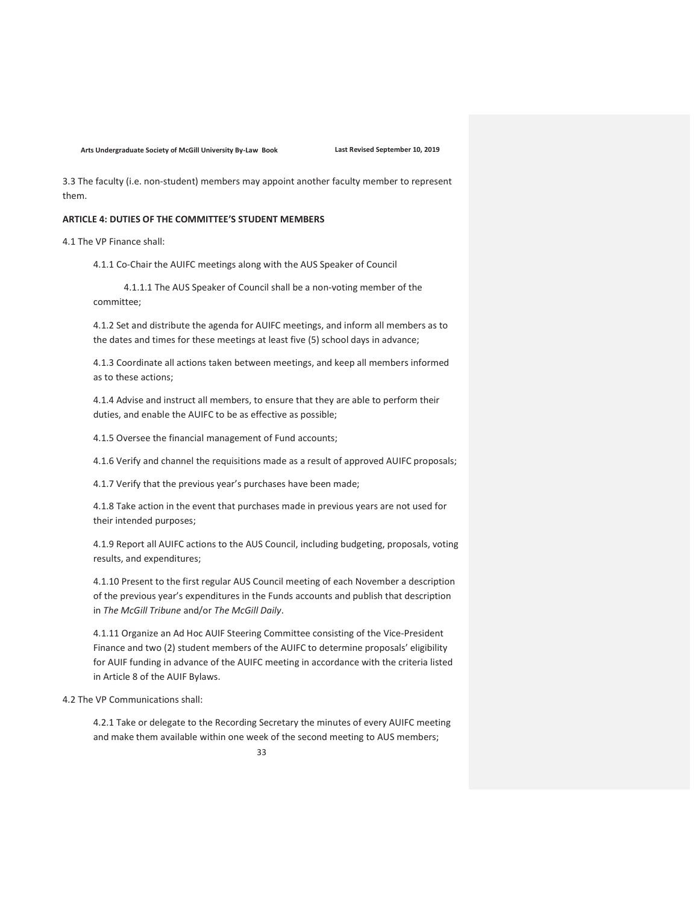3.3 The faculty (i.e. non-student) members may appoint another faculty member to represent them.

### ARTICLE 4: DUTIES OF THE COMMITTEE'S STUDENT MEMBERS

4.1 The VP Finance shall:

4.1.1 Co-Chair the AUIFC meetings along with the AUS Speaker of Council

4.1.1.1 The AUS Speaker of Council shall be a non-voting member of the committee;

4.1.2 Set and distribute the agenda for AUIFC meetings, and inform all members as to the dates and times for these meetings at least five (5) school days in advance;

4.1.3 Coordinate all actions taken between meetings, and keep all members informed as to these actions;

4.1.4 Advise and instruct all members, to ensure that they are able to perform their duties, and enable the AUIFC to be as effective as possible;

4.1.5 Oversee the financial management of Fund accounts;

4.1.6 Verify and channel the requisitions made as a result of approved AUIFC proposals;

4.1.7 Verify that the previous year's purchases have been made;

4.1.8 Take action in the event that purchases made in previous years are not used for their intended purposes;

4.1.9 Report all AUIFC actions to the AUS Council, including budgeting, proposals, voting results, and expenditures;

4.1.10 Present to the first regular AUS Council meeting of each November a description of the previous year's expenditures in the Funds accounts and publish that description in The McGill Tribune and/or The McGill Daily.

4.1.11 Organize an Ad Hoc AUIF Steering Committee consisting of the Vice-President Finance and two (2) student members of the AUIFC to determine proposals' eligibility for AUIF funding in advance of the AUIFC meeting in accordance with the criteria listed in Article 8 of the AUIF Bylaws.

4.2 The VP Communications shall:

4.2.1 Take or delegate to the Recording Secretary the minutes of every AUIFC meeting and make them available within one week of the second meeting to AUS members;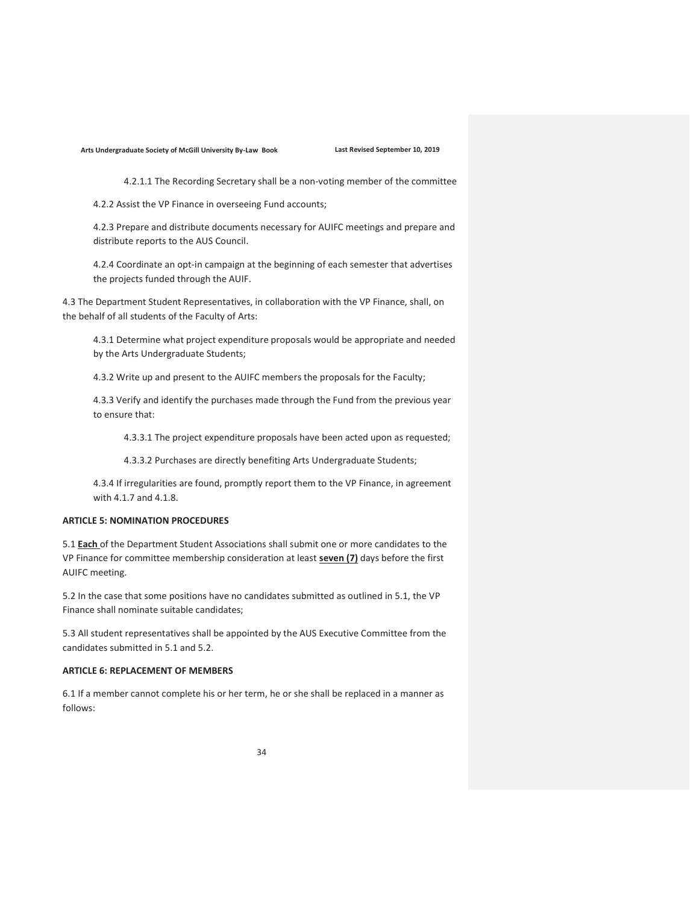4.2.1.1 The Recording Secretary shall be a non-voting member of the committee

4.2.2 Assist the VP Finance in overseeing Fund accounts;

4.2.3 Prepare and distribute documents necessary for AUIFC meetings and prepare and distribute reports to the AUS Council.

4.2.4 Coordinate an opt-in campaign at the beginning of each semester that advertises the projects funded through the AUIF.

4.3 The Department Student Representatives, in collaboration with the VP Finance, shall, on the behalf of all students of the Faculty of Arts:

4.3.1 Determine what project expenditure proposals would be appropriate and needed by the Arts Undergraduate Students;

4.3.2 Write up and present to the AUIFC members the proposals for the Faculty;

4.3.3 Verify and identify the purchases made through the Fund from the previous year to ensure that:

4.3.3.1 The project expenditure proposals have been acted upon as requested;

4.3.3.2 Purchases are directly benefiting Arts Undergraduate Students;

4.3.4 If irregularities are found, promptly report them to the VP Finance, in agreement with 4.1.7 and 4.1.8.

### ARTICLE 5: NOMINATION PROCEDURES

5.1 **Each** of the Department Student Associations shall submit one or more candidates to the VP Finance for committee membership consideration at least seven (7) days before the first AUIFC meeting.

5.2 In the case that some positions have no candidates submitted as outlined in 5.1, the VP Finance shall nominate suitable candidates;

5.3 All student representatives shall be appointed by the AUS Executive Committee from the candidates submitted in 5.1 and 5.2.

## ARTICLE 6: REPLACEMENT OF MEMBERS

6.1 If a member cannot complete his or her term, he or she shall be replaced in a manner as follows: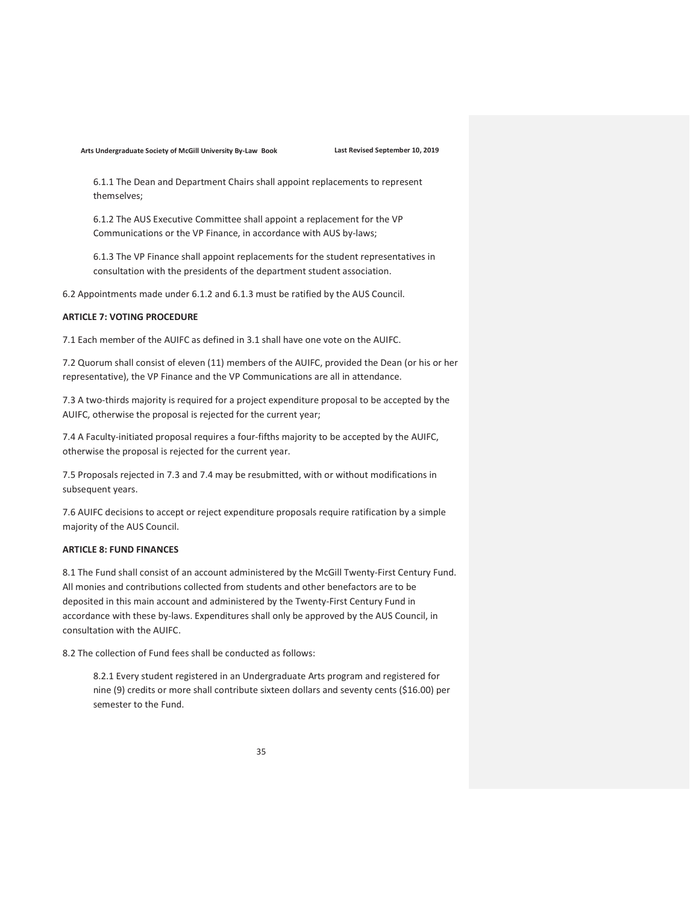6.1.1 The Dean and Department Chairs shall appoint replacements to represent themselves;

6.1.2 The AUS Executive Committee shall appoint a replacement for the VP Communications or the VP Finance, in accordance with AUS by-laws;

6.1.3 The VP Finance shall appoint replacements for the student representatives in consultation with the presidents of the department student association.

6.2 Appointments made under 6.1.2 and 6.1.3 must be ratified by the AUS Council.

# ARTICLE 7: VOTING PROCEDURE

7.1 Each member of the AUIFC as defined in 3.1 shall have one vote on the AUIFC.

7.2 Quorum shall consist of eleven (11) members of the AUIFC, provided the Dean (or his or her representative), the VP Finance and the VP Communications are all in attendance.

7.3 A two-thirds majority is required for a project expenditure proposal to be accepted by the AUIFC, otherwise the proposal is rejected for the current year;

7.4 A Faculty-initiated proposal requires a four-fifths majority to be accepted by the AUIFC, otherwise the proposal is rejected for the current year.

7.5 Proposals rejected in 7.3 and 7.4 may be resubmitted, with or without modifications in subsequent years.

7.6 AUIFC decisions to accept or reject expenditure proposals require ratification by a simple majority of the AUS Council.

# ARTICLE 8: FUND FINANCES

8.1 The Fund shall consist of an account administered by the McGill Twenty-First Century Fund. All monies and contributions collected from students and other benefactors are to be deposited in this main account and administered by the Twenty-First Century Fund in accordance with these by-laws. Expenditures shall only be approved by the AUS Council, in consultation with the AUIFC.

8.2 The collection of Fund fees shall be conducted as follows:

8.2.1 Every student registered in an Undergraduate Arts program and registered for nine (9) credits or more shall contribute sixteen dollars and seventy cents (\$16.00) per semester to the Fund.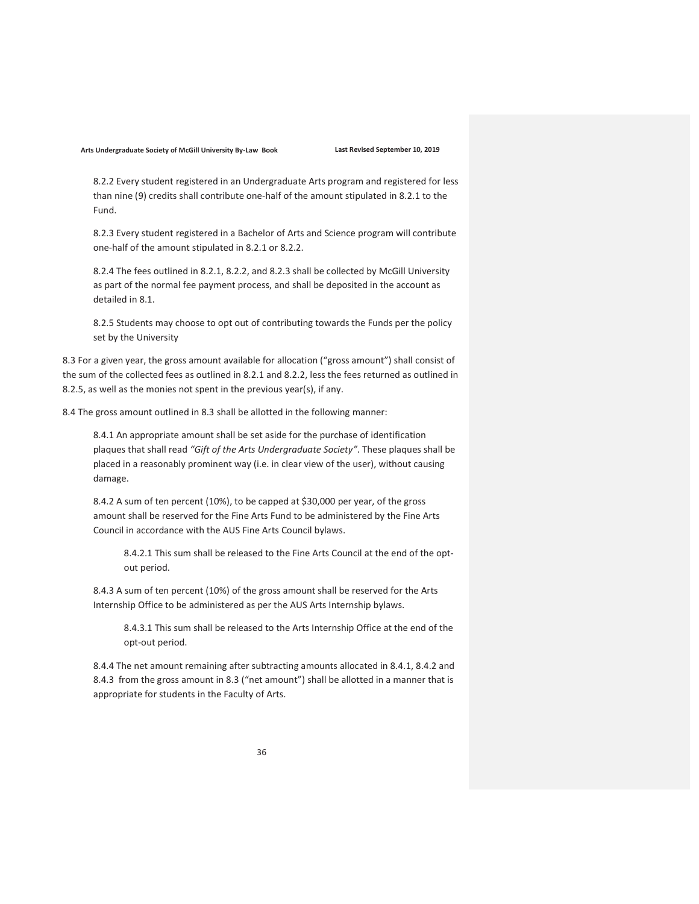8.2.2 Every student registered in an Undergraduate Arts program and registered for less than nine (9) credits shall contribute one-half of the amount stipulated in 8.2.1 to the Fund.

8.2.3 Every student registered in a Bachelor of Arts and Science program will contribute one-half of the amount stipulated in 8.2.1 or 8.2.2.

8.2.4 The fees outlined in 8.2.1, 8.2.2, and 8.2.3 shall be collected by McGill University as part of the normal fee payment process, and shall be deposited in the account as detailed in 8.1.

8.2.5 Students may choose to opt out of contributing towards the Funds per the policy set by the University

8.3 For a given year, the gross amount available for allocation ("gross amount") shall consist of the sum of the collected fees as outlined in 8.2.1 and 8.2.2, less the fees returned as outlined in 8.2.5, as well as the monies not spent in the previous year(s), if any.

8.4 The gross amount outlined in 8.3 shall be allotted in the following manner:

8.4.1 An appropriate amount shall be set aside for the purchase of identification plaques that shall read "Gift of the Arts Undergraduate Society". These plaques shall be placed in a reasonably prominent way (i.e. in clear view of the user), without causing damage.

8.4.2 A sum of ten percent (10%), to be capped at \$30,000 per year, of the gross amount shall be reserved for the Fine Arts Fund to be administered by the Fine Arts Council in accordance with the AUS Fine Arts Council bylaws.

8.4.2.1 This sum shall be released to the Fine Arts Council at the end of the optout period.

8.4.3 A sum of ten percent (10%) of the gross amount shall be reserved for the Arts Internship Office to be administered as per the AUS Arts Internship bylaws.

8.4.3.1 This sum shall be released to the Arts Internship Office at the end of the opt-out period.

8.4.4 The net amount remaining after subtracting amounts allocated in 8.4.1, 8.4.2 and 8.4.3 from the gross amount in 8.3 ("net amount") shall be allotted in a manner that is appropriate for students in the Faculty of Arts.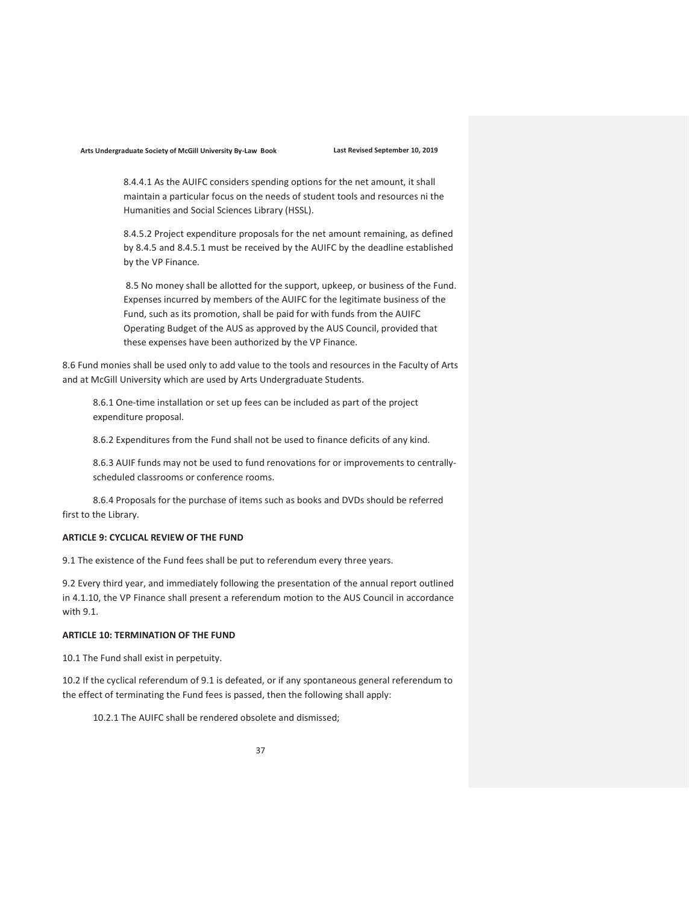8.4.4.1 As the AUIFC considers spending options for the net amount, it shall maintain a particular focus on the needs of student tools and resources ni the Humanities and Social Sciences Library (HSSL).

8.4.5.2 Project expenditure proposals for the net amount remaining, as defined by 8.4.5 and 8.4.5.1 must be received by the AUIFC by the deadline established by the VP Finance.

8.5 No money shall be allotted for the support, upkeep, or business of the Fund. Expenses incurred by members of the AUIFC for the legitimate business of the Fund, such as its promotion, shall be paid for with funds from the AUIFC Operating Budget of the AUS as approved by the AUS Council, provided that these expenses have been authorized by the VP Finance.

8.6 Fund monies shall be used only to add value to the tools and resources in the Faculty of Arts and at McGill University which are used by Arts Undergraduate Students.

8.6.1 One-time installation or set up fees can be included as part of the project expenditure proposal.

8.6.2 Expenditures from the Fund shall not be used to finance deficits of any kind.

8.6.3 AUIF funds may not be used to fund renovations for or improvements to centrallyscheduled classrooms or conference rooms.

8.6.4 Proposals for the purchase of items such as books and DVDs should be referred first to the Library.

# ARTICLE 9: CYCLICAL REVIEW OF THE FUND

9.1 The existence of the Fund fees shall be put to referendum every three years.

9.2 Every third year, and immediately following the presentation of the annual report outlined in 4.1.10, the VP Finance shall present a referendum motion to the AUS Council in accordance with 9.1.

# ARTICLE 10: TERMINATION OF THE FUND

10.1 The Fund shall exist in perpetuity.

10.2 If the cyclical referendum of 9.1 is defeated, or if any spontaneous general referendum to the effect of terminating the Fund fees is passed, then the following shall apply:

10.2.1 The AUIFC shall be rendered obsolete and dismissed;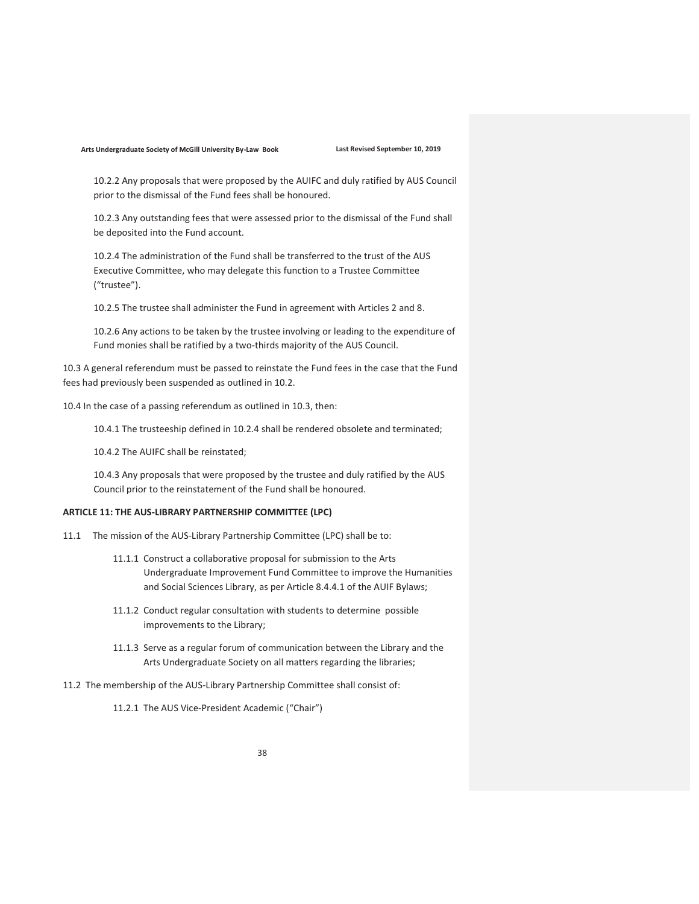10.2.2 Any proposals that were proposed by the AUIFC and duly ratified by AUS Council prior to the dismissal of the Fund fees shall be honoured.

10.2.3 Any outstanding fees that were assessed prior to the dismissal of the Fund shall be deposited into the Fund account.

10.2.4 The administration of the Fund shall be transferred to the trust of the AUS Executive Committee, who may delegate this function to a Trustee Committee ("trustee").

10.2.5 The trustee shall administer the Fund in agreement with Articles 2 and 8.

10.2.6 Any actions to be taken by the trustee involving or leading to the expenditure of Fund monies shall be ratified by a two-thirds majority of the AUS Council.

10.3 A general referendum must be passed to reinstate the Fund fees in the case that the Fund fees had previously been suspended as outlined in 10.2.

10.4 In the case of a passing referendum as outlined in 10.3, then:

10.4.1 The trusteeship defined in 10.2.4 shall be rendered obsolete and terminated;

10.4.2 The AUIFC shall be reinstated;

10.4.3 Any proposals that were proposed by the trustee and duly ratified by the AUS Council prior to the reinstatement of the Fund shall be honoured.

### ARTICLE 11: THE AUS-LIBRARY PARTNERSHIP COMMITTEE (LPC)

- 11.1 The mission of the AUS-Library Partnership Committee (LPC) shall be to:
	- 11.1.1 Construct a collaborative proposal for submission to the Arts Undergraduate Improvement Fund Committee to improve the Humanities and Social Sciences Library, as per Article 8.4.4.1 of the AUIF Bylaws;
	- 11.1.2 Conduct regular consultation with students to determine possible improvements to the Library;
	- 11.1.3 Serve as a regular forum of communication between the Library and the Arts Undergraduate Society on all matters regarding the libraries;
- 11.2 The membership of the AUS-Library Partnership Committee shall consist of:

11.2.1 The AUS Vice-President Academic ("Chair")